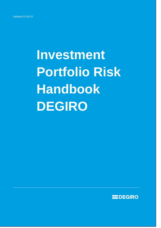# **Investment Portfolio Risk Handbook DEGIRO**

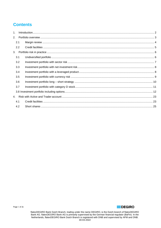# **Contents**

| 1 <sup>1</sup> |     |  |
|----------------|-----|--|
| 2.             |     |  |
|                | 2.1 |  |
|                | 2.2 |  |
| 3.             |     |  |
|                | 3.1 |  |
|                | 3.2 |  |
|                | 3.3 |  |
|                | 3.4 |  |
|                | 3.5 |  |
|                | 3.6 |  |
|                | 3.7 |  |
|                |     |  |
| 4.             |     |  |
|                | 4.1 |  |
|                | 4.2 |  |
|                |     |  |

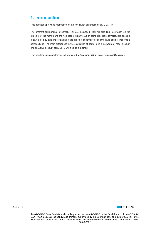# <span id="page-2-0"></span>**1. Introduction**

This handbook provides information on the calculation of portfolio risk at DEGIRO.

The different components of portfolio risk are discussed. You will also find information on the structure of the margin and the free scope. With the aid of some practical examples, it is possible to gain a step-by-step understanding of the structure of portfolio risk on the basis of different portfolio compositions. The main differences in the calculation of portfolio risks between a Trader account and an Active account at DEGIRO will also be explained.

This handbook is a supplement to the guide *'Further Information on Investment Services'*.



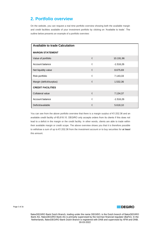# <span id="page-3-0"></span>**2. Portfolio overview**

On the website, you can request a real time portfolio overview showing both the available margin and credit facilities available of your investment portfolio by clicking on 'Available to trade'. The outline below presents an example of a portfolio overview:

| <b>Available to trade Calculation</b> |                             |             |
|---------------------------------------|-----------------------------|-------------|
| <b>MARGIN STATEMENT</b>               |                             |             |
| Value of portfolio                    | $\boldsymbol{\mathfrak{t}}$ | 10.191,96   |
| Account balance                       | €                           | $-1.516,26$ |
| Net liquidity value                   | €                           | 8.675,69    |
| Risk portfolio                        | €                           | 7.143,33    |
| Margin (deficit/surplus)              | €                           | 1.532,36    |
| <b>CREDIT FACILITIES</b>              |                             |             |
| Collateral value                      | €                           | 7.134,37    |
| Account balance                       | €                           | $-1.516,26$ |
| Deficit/available                     | €                           | 5.618,10    |

You can see from the above portfolio overview that there is a margin surplus of €1,532.36 and an available credit facility of €5,618.10. DEGIRO only accepts orders from its clients if this does not lead to a deficit in the margin or the credit facility. In other words, clients are able to trade within their available margin or credit scope. The above overview shows you that it is therefore possible to withdraw a sum of up to €1,532.36 from the investment account or to buy securities for *at least* this amount.



Page 3 of 26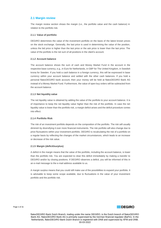# <span id="page-4-0"></span>**2.1 Margin review**

The margin review section shows the margin (i.e., the portfolio value and the cash balance) in relation to the portfolio risk.

## **2.1.1 Value of portfolio**

DEGIRO determines the value of the investment portfolio on the basis of the latest known prices on the stock exchange. Generally, the last price is used in determining the value of the position, unless the bid price is higher than the last price or the ask price is lower than the last price. The value of the portfolio is the net sum of all positions in the client's account.

## **2.1.2 Account balance**

The account balance shows the sum of cash and Money Market Fund in the account in the respective base currency, e.g., in Euro for Netherlands, in GBP for The United Kingdom, in Swedish krona for Sweden. If you hold a cash balance in a foreign currency, this will be expressed in base currency within your account balance and settled with the other cash balances. If you hold a personal flatexDEGIRO bank account, then your money will be held at flatexDEGIRO Bank AG instead of a Money Market Fund. Furthermore, the value of open buy orders will be subtracted from the account balance.

# **2.1.3 Net liquidity value**

The net liquidity value is obtained by adding the value of the portfolio to your account balance. It is of importance to keep the net liquidity value higher than the risk of the portfolio. In case the net liquidity value is lower than the portfolio risk, a margin deficit arises and the deficit procedure comes into effect.

# **2.1.4 Portfolio Risk**

The risk of an investment portfolio depends on the composition of the portfolio. The risk will usually diminish by diversifying it over more financial instruments. The risk portfolio will also change due to price fluctuations within your investment portfolio. DEGIRO is recalculating the risk of a portfolio on a regular basis by reflecting the changes of the market circumstances, which leads to an increase or decrease of the risk value.

# **2.1.5 Margin (deficit/surplus)**

A deficit in the margin means that the value of the portfolio, including the account balance, is lower than the portfolio risk. You are expected to clear this deficit immediately by making a transfer to DEGIRO and/or by closing positions. If DEGIRO observes a deficit, you will be informed of this in an e-mail message to the e-mail address available to us.

A margin surplus means that you could still make use of the possibilities to expand your portfolio. It is advisable to keep some scope available, due to fluctuations in the value of your investment portfolio and the portfolio risk.

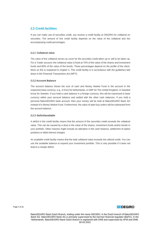# <span id="page-5-0"></span>**2.2 Credit facilities**

If you can make use of securities credit, you receive a credit facility at DEGIRO for collateral on securities. The amount of this credit facility depends on the value of the collateral and the accompanying credit percentages.

# **2.2.1 Collateral value**

The value of the collateral serves as cover for the securities credit taken up or still to be taken up. For a Trader account, the collateral value is fixed at 70% of the value of the shares and investment funds and 80% of the value of the bonds. These percentages depend on the profile of the client. More on this is explained in chapter 4. This credit facility is in accordance with the guidelines laid down in the Financial Transactions Act (WFT).

## **2.2.2 Account Balance**

The account balance shows the sum of cash and Money Market Fund in the account in the respective base currency, e.g., in Euro for Netherlands, in GBP for The United Kingdom, in Swedish krona for Sweden. If you hold a cash balance in a foreign currency, this will be expressed in base currency within your account balance and settled with the other cash balances. If you hold a personal flatexDEGIRO bank account, then your money will be held at flatexDEGIRO Bank AG instead of a Money Market Fund. Furthermore, the value of open buy orders will be subtracted from the account balance.

#### **2.2.3 Deficit/available**

A deficit in the credit facility means that the amount of the securities credit exceeds the collateral value. This can be caused by a drop in the value of the shares, investment funds and/or bonds in your portfolio. Other reasons might include an alteration in the cash balance, settlement of option positions or debit interest charges.

An available credit facility means that the total collateral value exceeds the utilized credit. You can use the available balance to expand your investment portfolio. This is only possible if it does not lead to a margin deficit.

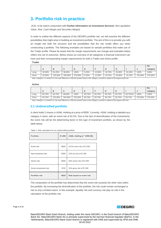# <span id="page-6-0"></span>**3. Portfolio risk in practice**

(N.B.: to be read in conjunction with **Further Information on Investment Services**: *Net Liquidation Value, Risk, Cash Margin and Securities Margin)*

In order to outline the different aspects of the DEGIRO portfolio risk, we will examine the different possibilities that might arise in building an investment portfolio. The aim of this is to provide you with an insight into both the structure and the possibilities that the risk model offers you when constructing a portfolio. The following examples are based on sample portfolios that make use of the Trader profile. Please be aware that the margin requirements can change and examples below reflect one set of outcomes. Below shows an overview of all categories a financial instrument can have and their corresponding margin requirements for both a Trader and Active profile.

#### **Trader**

|       |        |         |         |         |       |        |        |        |        |         | <b>No</b> |
|-------|--------|---------|---------|---------|-------|--------|--------|--------|--------|---------|-----------|
|       | n      |         |         |         |       |        | œ      |        |        |         | category  |
| Long  | 62,50% | 81.25%  | 99.00%  | 100%    | 6,25% | 12,50% | 18,75% | 25.00% | 31.25% | 100%    | 100%      |
| Short | 62,50% | 125,00% | 250,00% | 375,00% | 6,25% | 12,50% | 18.75% | 25,00% | 31,25% | 375,00% | 375,00%   |

Note: Category J is similar to D, the main difference is that the position value of the category J product is added to the largest event risk.

**Active**

|       |          |         |         |         |        |        |        |        |         |         | No       |
|-------|----------|---------|---------|---------|--------|--------|--------|--------|---------|---------|----------|
|       | <u>n</u> | D       |         | u       | ►      |        |        |        |         |         | category |
| Long  | 83.75%   | 83.75%  | 99,00%  | 100%    | 83.75% | 83.75% | 83.75% | 83.75% | 83.75%% | 100%    | 100%     |
| Short | 83,75%   | 125,00% | 250,00% | 375,00% | 83,75% | 83.75% | 83.75% | 83,75% | 83.75%  | 375,00% | 375,00%  |

Note: Category J is similar to D, the main difference is that the position value of the category J product is added to the largest event risk.

# <span id="page-6-1"></span>**3.1 Undiversified portfolio**

A client holds 2 shares in ASML Holding at a price of €500. Currently, ASML Holding is labelled asa category A stock, with an event risk of 62.5%. Due to the lack of diversification of the investments, the event risk will be the determining factor in this type of investment portfolio, as shown by the table below:

| Portfolio           | €1,000 | ASML Holding (2 * €500.00) |
|---------------------|--------|----------------------------|
|                     |        |                            |
| Event risk          | €625   | 62.5% event risk of €1,000 |
| Net investment risk | €250   | 25% net risk of €1,000     |
| Sector risk         | €400   | 40% sector risk of €1,000  |

Gross investment risk €100 10% gross risk of €1,000

**Portfolio risk €625 Risk based on event risk**

Table 1: Risk calculation for an undiversified portfolio

| The composition of the portfolio has determined that the event risk exceeds the other risks within    |
|-------------------------------------------------------------------------------------------------------|
| the portfolio. By increasing the diversification of the portfolio, the risk could remain unchanged or |
| rise to only a limited extent. In this example, liquidity risk and currency risk play no role in the  |
| calculation of the portfolio risk.                                                                    |

Page 6 of 26

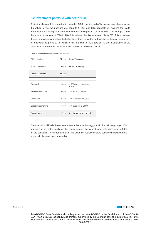# <span id="page-7-0"></span>**3.2 Investment portfolio with sector risk**

A client holds a portfolio spread which includes ASML Holding and ASM International shares, where the values of the two positions are equal to €1,000 and €800 respectively. Assume that ASM International is a category B stock with a corresponding event risk of 81.25%. This example shows that with an investment of €800 in ASM International, the risk increases only by €95. This is because the sector risk lies higher than the highest event risk within the portfolio. Nevertheless, this remains an undiversified portfolio, for which a risk premium of 40% applies. A brief explanation of the calculation of the risk for this investment portfolio is presented below.

| <b>ASML Holding</b>       | €1,000 | Sector Technology                   |
|---------------------------|--------|-------------------------------------|
| <b>ASM</b> International  | €800   | Sector Technology                   |
| <b>Value of Portfolio</b> | €1,800 |                                     |
|                           |        |                                     |
| Event risk                | €650   | 81,25% event risk of €800<br>(ASMI) |
| Net investment risk       | €450   | 25% net risk of €1,800              |
| Sector risk               | €720   | 40% sector risk of €1,800           |
| Gross investment risk     | €180   | 10% gross risk of €1,800            |
| Portfolio risk            | €720   | Risk based on sector risk           |

Table 2: calculation of risk sector for a portfolio

The total risk of €720 is the result of a sector risk in technology, for which a risk weighting of 40% applies. The risk of the position in this sector exceeds the highest event risk, which is set at €650 for the position in ASM International. In this example, liquidity risk and currency risk play no role in the calculation of the portfolio risk.

Page 7 of 26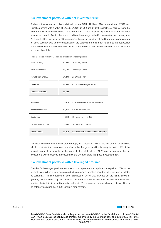# <span id="page-8-0"></span>**3.3 Investment portfolio with net investment risk**

A client's investment portfolio is divided among ASML Holding, ASM International, RDSA and Heineken shares with a value of €1,000, €1,100, €1,200 and €1,000 respectively. Assume here that RDSA and Heineken are labelled a category B and A stock respectively. All these shares are listed in euro, as a result of which there is no additional surcharge to the Risk calculation for currency risk. As a result of the high liquidity of these shares, there is no liquidity risk and therefore no requirement for extra security. Due to the composition of the portfolio, there is a risk relating to the net position of the investment portfolio. The table below shows the outcomes of the calculation of the risk for the investment portfolio.

| <b>ASML Holding</b>       | €1,000 | <b>Technology Sector</b>   |
|---------------------------|--------|----------------------------|
| <b>ASM</b> International  | €1,100 | <b>Technology Sector</b>   |
| Royal Dutch Shell A       | €1,200 | Oil & Gas Sector           |
| Heineken                  | €1,000 | Foods and Beverages Sector |
| <b>Value of Portfolio</b> | €4,300 |                            |

Table 3: Risk calculation based on net investment category position

| Event risk            | €975   | 81,25% event risk of €1,200.00 (RDSA) |
|-----------------------|--------|---------------------------------------|
| Net investment risk   | €1,075 | 25% net risk of €4,300.00             |
| Sector risk           | €840   | 40% sector risk of €2,100             |
| Gross investment risk | €430   | 10% gross risk of €4,300              |
| Portfolio risk        | €1,075 | Risk based on net investment category |

The net investment risk is calculated by applying a factor of 25% on the net sum of all positions which constitute the investment portfolio, while the gross position is weighted with 10% of the absolute sum of the assets. In this example the total risk of €1075 now arises from the net investment, which exceeds the sector risk, the event risk and the gross investment risk.

# <span id="page-8-1"></span>**3.4 Investment portfolio with a leveraged product**

The risk for leveraged products such as turbos, speeders and sprinters is equal to 100% of the current value. When buying such a product, you should therefore have the full investment available as collateral. This also applies for other products for which DEGIRO has set the risk at 100%. In general, this concerns high risk financial instruments such as warrants, as well as shares with relatively limited liquidity and/or market value etc. To be precise, products having category D, J or no category assigned get a 100% margin requirement.

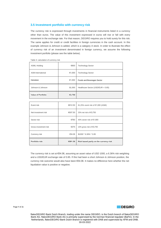# <span id="page-9-0"></span>**3.5 Investment portfolio with currency risk**

The currency risk is expressed through investments in financial instruments listed in a currency other than euros. The value of this investment expressed in euros will rise or fall with every movement in the exchange rate. For that reason, DEGIRO requires you to hold surety for this risk. The same applies for credit or credit facilities in foreign currencies in the cash account. In this example Johnson & Johnson is added, which is a category A stock. In order to illustrate the effect of currency risk of an investment denominated in foreign currency, we assume the following investment portfolio (please see the table below).

| <b>ASML Holding</b>      | €900    | <b>Technology Sector</b>              |
|--------------------------|---------|---------------------------------------|
| <b>ASM</b> International | €1,000  | <b>Technology Sector</b>              |
| Heineken                 | €1,000  | Foods and Beverages Sector            |
| Johnson & Johnson        | \$1,000 | Healthcare Sector (USD/EUR = $0.85$ ) |
| Value of Portfolio       | €3,750  |                                       |

Table 4: calculation of currency risk

| Event risk            | €812.50 | 81,25% event risk of €1,000 (ASMI)     |
|-----------------------|---------|----------------------------------------|
| Net investment risk   | €937.50 | 25% net risk of €3,750                 |
| Sector risk           | €760    | 40% sector risk of €1,900              |
| Gross investment risk | €375    | 10% gross risk of €3,750               |
| Currency risk         | €54.06  | $$1000 * 6.36\% * 0.85$                |
| Portfolio risk        | €991.56 | Risk based partly on the currency risk |

The currency risk is set at €54.06, assuming an asset value of USD 1000, a 6.36% risk weighting and a USD/EUR exchange rate of 0.85. If this had been a short Johnson & Johnson position, the currency risk outcome would also have been €54.06. It makes no difference here whether the net liquidation value is positive or negative.

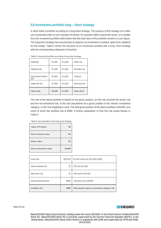# **3.6 Investment portfolio long – short strategy**

A client holds a portfolio according to a long-short strategy. The purpose of this strategy is to make use of potential under or over-valuation of shares, for example within a particular sector. It is notable from the investment portfolio table below that the total value of the portfolio results in a zero figure. The long-short strategy has ensured that on balance no investment is needed, apart from collateral for the margin. Table 5 shows the structure of an investment portfolio with a long- short strategy with the corresponding categories in brackets.

| ASMI(B)                    | €1,000 | €-1,000 | ASML (A)           |
|----------------------------|--------|---------|--------------------|
| Heineken (A)               | €1,200 | €-1,200 | AB InBev (A)       |
| Royal Dutch Shell A<br>(B) | €1,000 | €-1,000 | Total (A)          |
| Allianz SE (A)             | €1,200 | €-1,200 | NN Group (A)       |
| <b>Value long</b>          | €4,400 | €-4,400 | <b>Value short</b> |

Table 5: investment portfolio according to long-short strategy.

The risk of the above portfolio is based on the gross position, as this risk exceeds the sector risk and the net investment risk. In the risk calculations for a gross position in the 'shares' investment category, a 10% risk weighting is used. The total gross position of the above portfolio is €8,800, asa result of which the portfolio risk is €880. A further explanation of how this risk arises follows in Table 6.

| Table 6: risk calculation of the long-short strategy |  |  |  |
|------------------------------------------------------|--|--|--|
|------------------------------------------------------|--|--|--|

| Value of Portfolio            | €0     |
|-------------------------------|--------|
| Net investment value          | €0     |
| Sector value                  | €0     |
| <b>Gross investment value</b> | €8,800 |

| Event risk            | €812.50 | 81.25% event risk of €1,000 (ASMI)           |
|-----------------------|---------|----------------------------------------------|
| Net investment risk   | €0      | 25% net risk of $\epsilon$ 0                 |
| Net sector risk       | €0      | 40% sector risk of $\epsilon$ 0              |
| Gross investment risk | €880    | 10% gross risk of €8,800                     |
| Portfolio risk        | €880    | Risk based on gross investment category risk |

<span id="page-10-0"></span>Page 10 of 26

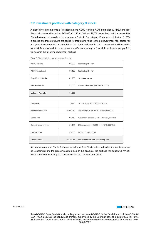# <span id="page-11-0"></span>**3.7 Investment portfolio with category D stock**

A client's investment portfolio is divided among ASML Holding, ASM International, RDSA and Riot Blockchain shares with a value of €1,000, €1,150, €1,200 and €1,000 respectively. In this example Riot Blockchain can be considered as a category D stock. For category D stocks a risk factor of 100% is applied and these products are added for their entire value to the net investment risk, sector risk and gross investment risk. As Riot Blockchain is denominated in USD, currency risk will be added as a risk factor as well. In order to see the effect of a category D stock in an investment portfolio we assume the following investment portfolio.

| <b>ASML Holding</b>       | €1,000  | <b>Technology Sector</b>               |
|---------------------------|---------|----------------------------------------|
| <b>ASM</b> International  | €1,150  | <b>Technology Sector</b>               |
| Royal Dutch Shell A       | €1,200  | Oil & Gas Sector                       |
| Riot Blockchain           | \$1,000 | Financial Services (USD/EUR = $0.85$ ) |
| <b>Value of Portfolio</b> | €4,200  |                                        |

Table 7: Risk calculation with a category D stock

| Event risk            | €975      | 81,25% event risk of €1,200 (RDSA)            |
|-----------------------|-----------|-----------------------------------------------|
| Net investment risk   | €1,687.50 | 25% net risk of €3,350 + 100%*\$1,000*0.85    |
| Sector risk           | €1,710    | 40% sector risk of €2,150 + 100%*\$1,000*0.85 |
| Gross investment risk | €1,185    | 10% gross risk of €3,350 + 100%*\$1,000*0.85  |
| Currency risk         | €54.06    | \$1000 * 6.36% * 0.85                         |
| Portfolio risk        | €1,741.56 | Net investment risk + currency risk           |

As can be seen from Table 7, the entire value of Riot Blockchain is added to the net investment risk, sector risk and the gross investment risk. In this example, the portfolio risk equals €1,741.56, which is derived by adding the currency risk to the net investment risk.

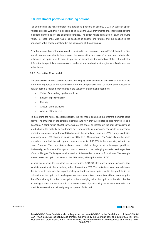# <span id="page-12-0"></span>**3.8 Investment portfolio including options**

For determining the risk surcharge that applies to positions in options, DEGIRO uses an option valuation model. With this, it is possible to calculate the value movements of all individual positions in options on the basis of pre-selected scenarios. The option risk is calculated for each underlying value. For each underlying value, all positions in options and futures and the position in the underlying value itself are included in the calculation of the option risk.

A further explanation of the risk model is provided in the paragraph headed '3.8.1 Derivative Risk model'. As we see later in this chapter, the composition and size of an options portfolio also influences the option risk. In order to provide an insight into the operation of the risk model for different option portfolios, examples of a number of standard option strategies for a Trader account follow below.

#### **3.8.1 Derivative Risk model**

The derivative risk model can be applied for both equity and index options and will make an estimate of the risk regardless of the composition of the options portfolio. The risk model takes account of how an option is realized. Movements in the valuation of an option depend on:

- Value of the underlying share or index
- Level of implicit volatility
- **Maturity**
- Amount of the dividend
- Amount of the interest

To determine the risk of an option position, the risk model combines the different elements listed above. The influence of the different elements and how they are related is also referred to as a 'scenario'. A combination of a fall in the value of the share, an increase in the implicit volatility and a reduction in the maturity by one trading day, for example, is a scenario. For clients with a Trader profile the scenario's range from a 25% change in the underlying value to a -25% change in addition to a range of a 15% change in implicit volatility to a -15% change. For Active clients the same procedure is applied, but with up and down movements of 83.75% in the underlying value in the case of stocks. This way, Active clients cannot build too large short or leveraged positions. Additionally, for futures a 25% up and down movement in the underlying value is used regardless of the profile type. Table 8 gives an impression of the standard scenarios for an index. The example makes use of two option positions on the AEX index, with a price index of 710.

In addition to using the standard set of scenarios, DEGIRO also uses extreme scenarios that simulate variations in the underlying value of more than 25%. The derivative valuation model does this in order to measure the impact of deep out-of-the-money options within the portfolio in the calculation of the option risk. A deep out-of-the-money option is an option with an exercise price that differs sharply from the current price of the underlying value. For options of this kind, the risk according to the standard scenario is underestimated. By calculating an extreme scenario, it is possible to determine a risk weighting for options of this kind.

Page 12 of 26

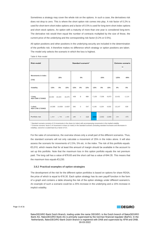Sometimes a strategy may cover the whole risk on the options. In such a case, the derivatives risk does not drop to zero. This is where the short option risk comes into play. A risk factor of 0.2% is used for short-term short index options and a factor of 0.5% is used for long-term short index options and short stock options. An option with a maturity of more than one year is considered long-term. The derivative risk would then equal the number of contracts multiplied by the size of those, the current price of the underlying and the corresponding risk factor (0.2% or 0.5%).

All option positions and other positions in the underlying security are included in the determination of the portfolio risk. It therefore makes no difference which strategy or option positions are taken. The model only selects the scenario in which the loss is highest.

| <b>Risk model</b>                  |           |        | <b>Extreme scenario</b><br>$***$ |        |              |        |          |          |          |           |          |
|------------------------------------|-----------|--------|----------------------------------|--------|--------------|--------|----------|----------|----------|-----------|----------|
| <b>Movements in index</b><br>(710) |           | 25%    |                                  |        | $0\%$        |        |          | $-25%$   |          | 125%      | $-99%$   |
| Volatility                         | $-15%$    | 0%     | 15%                              | $-15%$ | 0%           | 15%    | $-15%$   | 0%       | 15%      | 0%        | 0%       |
| 1 long<br><b>AEX C650 17JUN22</b>  | 16,402    | 16,424 | 16,475                           | $-406$ | $\mathbf 0$  | 434    | $-7,150$ | $-7,036$ | $-6,873$ | 13,431    | $-1,114$ |
| 1 short<br><b>AEX C700 17JUN22</b> | $-14,568$ |        | $-14,658$ $-14,807$              | 546    | $\mathbb O$  | $-547$ | 4,140    | 4,104    | 4,033    | $-13,147$ | 639      |
| Portfolio risk                     | 1,834     | 1,766  | 1,668                            | 140    | $\mathbf{0}$ | $-113$ | $-3,010$ | $-2,932$ | $-2,840$ | 284       | $-475$   |

Table 8: Risk model

\* Standard scenario consists of 13 movements in the share (or index) with accompanying movements in the implied volatility

\*\* Extreme scenario: factor 5 of movement in share (or index) in the standard scenario (including standard increases and decreases in volatility), outcome is scaled back by a factor of 6.5.

For the sake of convenience, the overview shows only a small part of the different scenarios. Thus, the standard scenario will not only calculate a movement of 25% in the index alone. It will also assess the scenario for movements of 2.5%, 5% etc. in the index. The risk of this portfolio equals €3,010, which means that for at least this amount of margin should be available in the account to set up this portfolio. Note that the maximum loss in this option portfolio equals the net premium paid. The long call has a value of €76.65 and the short call has a value of €44.35. This means that the maximum loss equals €3,230.

#### **3.8.2 Practical examples of option strategies**

The development of the risk for the different option portfolios is based on options for share RDSA, the price of which is equal to €16.30. Each option strategy has its own payoff function in the form of a graph and contains a table showing the risk of the option strategy under different scenario's. An example of such a scenario could be a 25% increase in the underlying and a 15% increase in implicit volatility.

Page 13 of 26

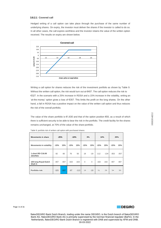#### **3.8.2.1 Covered call**

Hedged writing of a call option can take place through the purchase of the same number of underlying shares. On expiry, the investor must deliver the shares if the investor is called to do so. In all other cases, the call expires worthless and the investor retains the value of the written option received. The results on expiry are shown below.



Writing a call option for shares reduces the risk of the investment portfolio as shown by Table 9. Without the written call option, the risk would turn out at €407. The call option reduces the risk to €327. In the scenario with a 25% increase in RDSA and a 15% increase in the volatility, writing an 'at-the-money' option gives a loss of €357. This limits the profit on the long shares. On the other hand, a fall in RDSA has a positive impact on the value of the written call option and thus reduces the risk of the overall portfolio.

The value of the share portfolio is  $€1,630$  and that of the option position  $€93$ , as a result of which there is sufficient security to be able to bear the risk in the portfolio. The credit facility for the shares remains unchanged, at 70% of the value of the share portfolio.

| <b>Movements in share</b>           | $-25%$ |        | $-10%$ |        | 0%           |             | 10%    |        | 25%    |        |
|-------------------------------------|--------|--------|--------|--------|--------------|-------------|--------|--------|--------|--------|
| <b>Movements in volatility</b>      | $-15%$ | 15%    | $-15%$ | 15%    | $-15%$       | 15%         | $-15%$ | 15%    | $-15%$ | 15%    |
| 1 short RD C16.00<br><b>18JUN21</b> | 82     | 80     | 76     | 50     | 19           | $-19$       | $-112$ | $-134$ | $-353$ | $-357$ |
| 100 long Royal Dutch<br>Shell A     | $-407$ | $-407$ | $-163$ | $-163$ | $\mathbf{0}$ | $\mathbf 0$ | 163    | 163    | 407    | 407    |
| Portfolio risk                      | $-325$ | $-327$ | $-87$  | $-113$ | 19           | $-19$       | 51     | 29     | 54     | 50     |

Table 9: portfolio risk of written call option with purchased shares



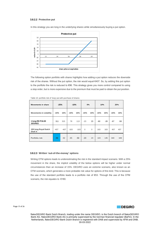#### **3.8.2.2 Protective put**

In this strategy you are long in the underlying shares while simultaneously buying a put option.



The following option portfolio with shares highlights how adding a put option reduces the downside risk of the shares. Without the put option, the risk would equal €407. So, by adding this put option to the portfolio the risk is reduced to €96. This strategy gives you more control compared to using a stop order, but is more expensive due to the premium that must be paid to obtain the put position.

| <b>Movements in share</b>          |        | $-25%$<br>$-10%$ |        | 0%     |              | 10%         |        | 25%   |        |     |
|------------------------------------|--------|------------------|--------|--------|--------------|-------------|--------|-------|--------|-----|
| <b>Movements in volatility</b>     | $-15%$ | 15%              | $-15%$ | 15%    | $-15%$       | 15%         | $-15%$ | 15%   | $-15%$ | 15% |
| 1 long RD P16.00<br><b>18JUN21</b> | 311    | 315              | 78     | 113    | $-23$        | 23          | $-60$  | $-28$ | $-67$  | -58 |
| 100 long Royal Dutch<br>Shell A    | $-407$ | $-407$           | $-163$ | $-163$ | $\mathbf{0}$ | $\mathbf 0$ | 163    | 163   | 407    | 407 |
| Portfolio risk                     | $-96$  | $-92$            | $-85$  | $-50$  | $-23$        | 23          | 103    | 135   | 340    | 349 |

|  | Table 10: portfolio risk of 'long' put with purchase of shares |
|--|----------------------------------------------------------------|
|--|----------------------------------------------------------------|

#### **3.8.2.3 Written 'out-of-the-money' options**

Writing OTM options leads to underestimating the risk in the standard impact scenario. With a 25% movement in the share, the implicit volatility of the below options will be higher under normal circumstances than an increase of 15%. DEGIRO uses an extreme scenario, also known as an OTM scenario, which generates a more probable risk value for options of this kind. This is because the use of the standard portfolio leads to a portfolio risk of €53. Through the use of the OTM scenario, the risk equates to €180.



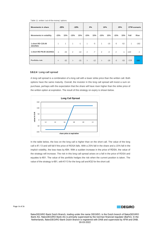#### Table 11: written 'out-of-the-money' options

| <b>Movements in share</b>           | $-25%$         |              | $-10%$ |       | 0%     |       | 10%          |       |        | 25%   |        | OTM scenario   |
|-------------------------------------|----------------|--------------|--------|-------|--------|-------|--------------|-------|--------|-------|--------|----------------|
| <b>Movements in volatility</b>      | $-15%$         | 15%          | $-15%$ | 15%   | $-15%$ | 15%   | $-15%$       | 15%   | $-15%$ | 15%   | Fall   | <b>Rise</b>    |
| 1 short RD C25.00<br><b>18JUN21</b> | $\mathbf{1}$   | $\mathbf{1}$ | 1      | $-1$  | 1      | $-5$  | $\mathbf{1}$ | $-15$ | $-5$   | $-52$ | 1      | $-182$         |
| 1 short RD P8.00 18JUN21            | $-1$           | $-33$        | 2      | $-14$ | 2      | $-7$  | 2            | $-4$  | 2      | $-1$  | $-120$ | $\overline{2}$ |
| Portfolio risk                      | $\overline{0}$ | $-32$        | 3      | $-15$ | 3      | $-12$ | 3            | $-19$ | $-3$   | $-53$ | $-119$ | $-180$         |

#### **3.8.2.4 Long call spread**

A long call spread is a combination of a long call with a lower strike price than the written call. Both options have the same maturity. Overall, the investor in this long call spread will invest a sum on purchase, perhaps with the expectation that the share will have risen higher than the strike price of the written option at expiration. The result of this strategy on expiry is shown below.



In the table below, the loss on the long call is higher than on the short call. The value of the long call is €1.13 and will fall if the price of RDSA falls. With a 25% fall in the share and a 15% fall in the implicit volatility, the loss rises by €84. With a sudden increase in the price of RDSA, the value of the strategy will increase. The risk in this long call spread arises on a fall in the price of RDSA and equates to €61. The value of the portfolio hedges the risk when the current position is taken. The value of the strategy is €81, with €113 for the long call and €32 for the short call.

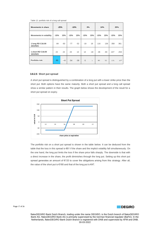#### Table 12: portfolio risk of a long call spread

| <b>Movements in share</b>           | $-25%$ |       | $-10%$ |       | 0%     |              | 10%    |       | 25%    |        |
|-------------------------------------|--------|-------|--------|-------|--------|--------------|--------|-------|--------|--------|
| <b>Movements in volatility</b>      | $-15%$ | 15%   | $-15%$ | 15%   | $-15%$ | 15%          | $-15%$ | 15%   | $-15%$ | 15%    |
| 1 long RD C16.00<br><b>18JUN21</b>  | $-84$  | $-83$ | $-77$  | $-52$ | $-19$  | 19           | 116    | 136   | 358    | 361    |
| 1 short RD C18.00<br><b>18JUN21</b> | 23     | 23    | 23     | 13    | 14     | $-18$        | $-36$  | $-84$ | $-227$ | $-254$ |
| Portfolio risk                      | $-61$  | $-60$ | $-54$  | $-39$ | $-5$   | $\mathbf{1}$ | 80     | 52    | 131    | 107    |

#### **3.8.2.5 Short put spread**

A short put spread is distinguished by a combination of a long put with a lower strike price than the short put. Both options have the same maturity. Both a short put spread and a long call spread show a similar pattern in their results. The graph below shows the development of the result for a short put spread on expiry.



The portfolio risk on a short put spread is shown in the table below. It can be deduced from the table that the loss in this spread is €61 if the share and the implicit volatility fall simultaneously. On the one hand, the long put limits the loss if the share price falls sharply. The downside is that with a direct increase in the share, the profit diminishes through the long put. Setting up this short put spread generates an amount of €133 to cover the obligations arising from this strategy. After all, the value of the short put is €180 and that of the long put is €47.

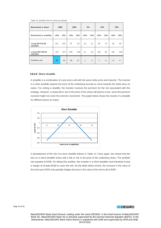| Table 13: portfolio risk of a short put spread |  |  |  |  |
|------------------------------------------------|--|--|--|--|
|------------------------------------------------|--|--|--|--|

| <b>Movements in share</b>           | $-25%$ |        | $-10%$ |        | 0%     |       | 10%    |       | 25%    |       |
|-------------------------------------|--------|--------|--------|--------|--------|-------|--------|-------|--------|-------|
| <b>Movements in volatility</b>      | $-15%$ | 15%    | $-15%$ | 15%    | $-15%$ | 15%   | $-15%$ | 15%   | $-15%$ | 15%   |
| 1 long RD P16.00<br><b>18JUN21</b>  | 311    | 315    | 78     | 111    | $-22$  | 22    | $-56$  | $-27$ | $-62$  | $-55$ |
| 1 short RD P18.00<br><b>18JUN21</b> | $-372$ | $-374$ | $-128$ | $-148$ | 21     | $-24$ | 128    | 69    | 191    | 149   |
| Portfolio risk                      | $-61$  | $-59$  | $-50$  | $-37$  | $-1$   | $-2$  | 72     | 42    | 129    | 94    |

#### **3.8.2.6 Short straddle**

A straddle is a combination of a put and a call with the same strike price and maturity. The investor in a short straddle expects the price of the underlying security to move towards the strike price on expiry. For writing a straddle, the investor receives the premium for the risk associated with this strategy. However, a sharp fall or rise in the price of the share will lead to a loss, since the premium received might not cover the extreme movement. The graph below shows the results of a straddle for different prices on expiry.



A development of the risk of a short straddle follows in Table 14. Once again, this shows that the loss on a short straddle arises with a fall or rise in the price of the underlying share. The portfolio risk equates to €338. On taking this position, the investor in a short straddle must therefore invest a margin of at least €338 to cover the risk. As the table below shows, the increase in the value of the short put of €43 only partially hedges the loss in the value of the short call of €381.

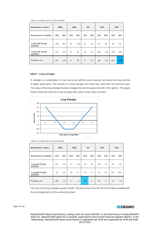Table 14: portfolio risk of a short straddle

| <b>Movements in share</b>           | $-25%$ |        | $-10%$ |        | 0%     |       | 10%    |        | 25%    |        |
|-------------------------------------|--------|--------|--------|--------|--------|-------|--------|--------|--------|--------|
| <b>Movements in volatility</b>      | $-15%$ | 15%    | $-15%$ | 15%    | $-15%$ | 15%   | $-15%$ | 15%    | $-15%$ | 15%    |
| 1 short RD P16.00<br><b>18JUN21</b> | $-295$ | $-301$ | $-64$  | $-103$ | 21     | $-22$ | 45     | 20     | 48     | 43     |
| 1 short RD C16.00<br><b>18JUN21</b> | 110    | 107    | 97     | 65     | 18     | $-19$ | $-129$ | $-147$ | $-378$ | $-381$ |
| Portfolio risk                      | $-185$ | $-194$ | $-2$   | $-38$  | 39     | $-41$ | $-84$  | $-127$ | $-330$ | $-338$ |

#### **3.8.2.7 Long strangle**

A strangle is a combination of a put and a call with the same maturity, but where the long call has a higher strike price. The investor in a long strangle can never lose more than the premium paid. The value of the long strangle therefore hedges the risk throughout the life of the options. The graph below shows the result of a long strangle with a price of the share at expiry.



Table 15: portfolio risk of a long strangle

| <b>Movements in share</b>          | $-25%$ |       | $-10%$ |     | 0%     |     | 10%    |       |        | 25%   |
|------------------------------------|--------|-------|--------|-----|--------|-----|--------|-------|--------|-------|
| <b>Movements in volatility</b>     | $-15%$ | 15%   | $-15%$ | 15% | $-15%$ | 15% | $-15%$ | 15%   | $-15%$ | 15%   |
| 1 long RD P16.00<br><b>18JUN21</b> | 311    | 315   | 77     | 111 | $-22$  | 23  | $-56$  | $-27$ | $-62$  | $-55$ |
| 1 long RD C18.00<br><b>18JUN21</b> | $-23$  | $-23$ | $-23$  | 13  | $-14$  | 17  | 36     | 84    | 227    | 254   |
| Portfolio risk                     | 288    | 292   | 54     | 124 | $-36$  | 40  | $-20$  | 57    | 165    | 199   |

The risk of the long strangle equates to €36. This loss arises from the fall in the implicit volatilityand the unchanged price of the underlying share.

Page 19 of 26

# **DEGIRO**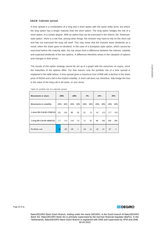#### **3.8.2.8 Calendar spread**

A time spread is a combination of a long and a short option with the same strike price, but where the long option has a longer maturity than the short option. The long option hedges the risk of a short option, to a certain degree. With an option that can be exercised in the interim, the 'Americanstyle option', there is a risk that, among other things, the investor may have to rely on the short call and has not exercised the long call itself. This may mean that the investor loses dividends as a result, when the share goes ex-dividend. In the case of a European-style option, which cannot be exercised before the maturity date, the risk arises from a difference between the interest, volatility and expected dividends of the two options. A difference therefore arises in the valuation of options and changes in their prices.

The results of this option strategy cannot be set up in a graph with the outcomes on expiry, since the maturities of the options differ. For that reason, only the portfolio risk of a time spread is explained in the table below. A time spread gives a maximum loss of €46 with a decline in the share price of RDSA and a fall in the implicit volatility. A short call does not, therefore, fully hedge the loss in the value of the long call in all cases, or vice versa.

| <b>Movements in share</b>      | $-25%$ |        | $-10%$ |              | 0%     |       | 10%    |        | 25%    |             |
|--------------------------------|--------|--------|--------|--------------|--------|-------|--------|--------|--------|-------------|
| <b>Movements in volatility</b> | $-15%$ | 15%    | $-15%$ | 15%          | $-15%$ | 15%   | $-15%$ | 15%    | $-15%$ | 15%         |
| 1 short RD C16.00 17DEC21      | 131    | 116    | 88     | 53           | 21     | $-21$ | $-80$  | $-120$ | $-277$ | $-305$      |
| 1 long RD C16.00 16DEC22       | $-177$ | $-141$ | $-108$ | $-52$        | $-31$  | 31    | 68     | 130    | 250    | 305         |
| Portfolio risk                 | $-46$  | $-25$  | $-20$  | $\mathbf{1}$ | $-10$  | 10    | $-12$  | 10     | $-27$  | $\mathbf 0$ |

Table 16: portfolio risk of a calendar spread

Page 20 of 26



HRB20140212 HRB20140212

flatexDEGIRO Bank Dutch Branch, trading under the name DEGIRO, is the Dutch branch of flatexDEGIRO Bank AG. flatexDEGIRO Bank AG is primarily supervised by the German financial regulator (BaFin). In the Netherlands, flatexDEGIRO Bank Dutch Branch is registered with DNB and supervised by AFM and DNB. 30-03-2022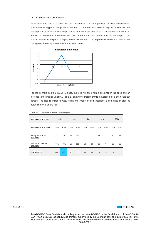#### **3.8.2.9 Short ratio put spread**

An investor who sets up a short ratio put spread uses part of the premium received on the written puts to buy a long put to hedge part of the risk. This creates a situation on expiry in which, with this strategy, a loss occurs only if the price falls by more than 25%. With a virtually unchanged price, the yield is the difference between the costs of the put and the proceeds of the written puts. The profit increases as the price on expiry moves towards €14. The graph below shows the result of this strategy on the expiry date for different share prices.



For the portfolio risk that DEGIRO uses, the loss will arise with a direct fall in the price and an increase in the implicit volatility. Table 17 shows the impact of this, developed for a short ratio put spread. The loss is limited to €66. Again, the impact of both positions is combined in order to determine the ultimate risk.

| <b>Movements in share</b>           | $-25%$ |        |        | $-10%$    | 0%     |       | 10%    |                |        | 25%   |
|-------------------------------------|--------|--------|--------|-----------|--------|-------|--------|----------------|--------|-------|
| <b>Movements in volatility</b>      | $-15%$ | 15%    | $-15%$ | 15%       | $-15%$ | 15%   | $-15%$ | 15%            | $-15%$ | 15%   |
| 1 long RD P16.00<br><b>18JUN21</b>  | 312    | 315    | 78     | 112       | $-22$  | 22    | $-56$  | $-27$          | $-62$  | -55   |
| 2 short RD P14.00<br><b>18JUN21</b> | $-331$ | $-381$ | $-27$  | $-111$    | 19     | $-28$ | 26     | $\overline{7}$ | 26     | 23    |
| Portfolio risk                      | $-19$  | $-66$  | 51     | $\vert$ 1 | $-3$   | $-6$  | $-30$  | $-20$          | $-36$  | $-32$ |

Table 17: portfolio risk of a short ratio put spread



Page 21 of 26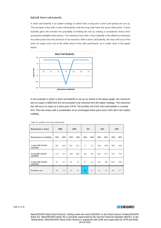#### **3.8.2.10 Short call butterfly**

A short call butterfly is an option strategy in which both a long and a short call spread are set up. The principle is that with a short call butterfly, both the long calls have the same strike price. A short butterfly gives the investor the possibility of limiting the risk by making a considered choice from among the available strike prices. The maximum loss with a short butterfly is the difference between the strike prices less the premium to be received. With a short call butterfly, this loss will occur if the price on expiry turns out at the strike price of the calls purchased, as is made clear in the graph below.



In the example in which a short call butterfly is set up as shown in the above graph, the maximum loss on expiry is €200 less the net proceeds to be received from the option strategy. The maximum loss will occur on expiry at a share price of €16. The portfolio risk of the short call butterfly is currently €18. This loss arises with a combination of an unchanged share price and a 15% fall in the implicit volatility.

| <b>Movements in share</b>           | $-25%$ |        | $-10%$ |        | 0%     |       | 10%    |        | 25%    |        |
|-------------------------------------|--------|--------|--------|--------|--------|-------|--------|--------|--------|--------|
| <b>Movements in volatility</b>      | $-15%$ | 15%    | $-15%$ | 15%    | $-15%$ | 15%   | $-15%$ | 15%    | $-15%$ | 15%    |
| 1 short RD C14.00<br><b>18JUN21</b> | 241    | 222    | 151    | 115    | 6      | $-11$ | $-156$ | $-160$ | $-401$ | $-402$ |
| 2 long RD C16.00<br><b>18JUN21</b>  | $-174$ | $-171$ | $-159$ | $-106$ | $-38$  | 38    | 233    | 274    | 718    | 724    |
| 1 short RD C18.00<br><b>18JUN21</b> | 23     | 23     | 23     | 13     | 14     | $-17$ | $-36$  | -85    | $-228$ | $-255$ |
| Portfolio risk                      | 90     | 74     | 15     | 22     | $-18$  | 10    | 41     | 29     | 89     | 67     |

Table 18: portfolio risk short call butterfly

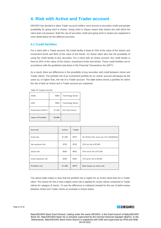# <span id="page-23-0"></span>**4. Risk with Active and Trader account**

DEGIRO has decided to allow Trader account holders more access to securities credit and greater availability for going short in shares. Going short in shares means that shares are sold which the client does not possess. Both the use of securities credit and going short in shares are explained in more detail below for the different accounts.

# <span id="page-23-1"></span>**4.1 Credit facilities**

For a client with a Trader account, the credit facility is fixed at 70% of the value of the shares and investment funds and 80% of the value of the bonds. An Active client also has the possibility of using the credit facility to buy securities. For a client with an Active account, the credit facility is fixed at 33% of the value of the shares, investment funds and bonds. These credit facilities are in accordance with the guidelines laid down in the Financial Transactions Act (WFT).

As a result, there are differences in the possibility to buy securities with credit between Active and Trader clients. The portfolio risk of an investment portfolio for an 'active' account will always be the same as, or higher than, the risk of a Trader account. The table below shows a portfolio for which the risk of both an Active and a Trader account are explained.

Table 19: margin overview

| <b>ASML</b>               | €800   | <b>Technology Sector</b> |
|---------------------------|--------|--------------------------|
| ASM                       | €800   | <b>Technology Sector</b> |
| Royal Dutch Shell A       | €1,200 | Oil & Gas Sector         |
| <b>Value of Portfolio</b> | €2,800 |                          |

| <b>Account</b>      | Active | <b>Trader</b> |                                          |
|---------------------|--------|---------------|------------------------------------------|
| Event risk          | €1,005 | €975          | 83.75%/81.25% event risk of €1,200(RDSA) |
| Net exposure risk   | €700   | €700          | 25% net risk of €2,800                   |
| Sector risk         | €640   | €640          | 40% sector risk of €1,600                |
| Gross exposure risk | €280   | €280          | 10% gross risk of €2,800                 |
| Portfolio risk      | €1,005 | €975          | Risk based on event risk                 |

The above table makes it clear that the portfolio risk is higher for an Active client than for a Trader client. The reason for this is that a higher event risk is applied for Active clients compared to Trader clients for category B stocks. To see the difference in collateral needed for the use of debit money between Active and Trader clients an example is shown below.

Page 23 of 26

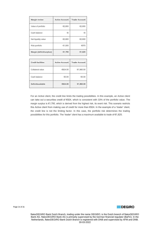| <b>Margin review</b>     | <b>Active Account</b> | <b>Trader Account</b> |
|--------------------------|-----------------------|-----------------------|
| Value of portfolio       | €2,800                | €2,800                |
| Cash balance             | €0                    | €0                    |
| Net liquidity value      | €2,800                | €2,800                |
| Risk portfolio           | €1,005                | €975                  |
| Margin (deficit/surplus) | €1,795                | €1,825                |

| <b>Credit facilities</b> | <b>Active Account</b> | <b>Trader Account</b> |
|--------------------------|-----------------------|-----------------------|
| Collateral value         | €924.00               | €1,960.00             |
| Cash balance             | €0.00                 | €0.00                 |
| Deficit/available        | €924.00               | €1,960.00             |

For an Active client, the credit line limits the trading possibilities. In this example, an Active client can take out a securities credit of €924, which is consistent with 33% of the portfolio value. The margin surplus is €1,795, which is derived from the highest risk, its event risk. This scenario restricts this Active client from making use of credit for more than €924. In the example of a 'trader' client, the credit line is not the limiting factor. In this case, the portfolio risk determines the trading possibilities for this portfolio. The 'trader' client has a maximum available to trade of €1,825.

Page 24 of 26